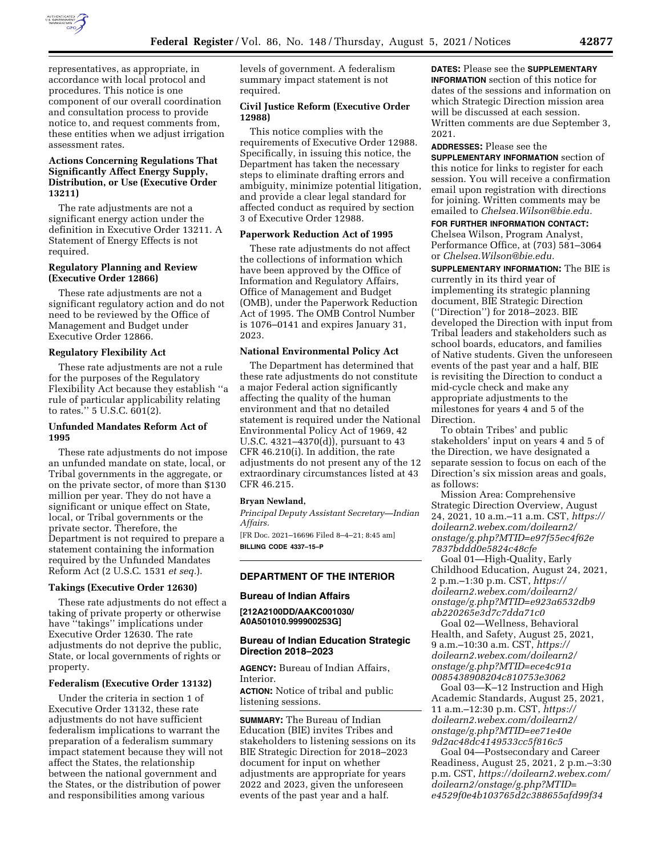

representatives, as appropriate, in accordance with local protocol and procedures. This notice is one component of our overall coordination and consultation process to provide notice to, and request comments from, these entities when we adjust irrigation assessment rates.

# **Actions Concerning Regulations That Significantly Affect Energy Supply, Distribution, or Use (Executive Order 13211)**

The rate adjustments are not a significant energy action under the definition in Executive Order 13211. A Statement of Energy Effects is not required.

# **Regulatory Planning and Review (Executive Order 12866)**

These rate adjustments are not a significant regulatory action and do not need to be reviewed by the Office of Management and Budget under Executive Order 12866.

### **Regulatory Flexibility Act**

These rate adjustments are not a rule for the purposes of the Regulatory Flexibility Act because they establish ''a rule of particular applicability relating to rates.'' 5 U.S.C. 601(2).

# **Unfunded Mandates Reform Act of 1995**

These rate adjustments do not impose an unfunded mandate on state, local, or Tribal governments in the aggregate, or on the private sector, of more than \$130 million per year. They do not have a significant or unique effect on State, local, or Tribal governments or the private sector. Therefore, the Department is not required to prepare a statement containing the information required by the Unfunded Mandates Reform Act (2 U.S.C. 1531 *et seq.*).

# **Takings (Executive Order 12630)**

These rate adjustments do not effect a taking of private property or otherwise have ''takings'' implications under Executive Order 12630. The rate adjustments do not deprive the public, State, or local governments of rights or property.

# **Federalism (Executive Order 13132)**

Under the criteria in section 1 of Executive Order 13132, these rate adjustments do not have sufficient federalism implications to warrant the preparation of a federalism summary impact statement because they will not affect the States, the relationship between the national government and the States, or the distribution of power and responsibilities among various

levels of government. A federalism summary impact statement is not required.

### **Civil Justice Reform (Executive Order 12988)**

This notice complies with the requirements of Executive Order 12988. Specifically, in issuing this notice, the Department has taken the necessary steps to eliminate drafting errors and ambiguity, minimize potential litigation, and provide a clear legal standard for affected conduct as required by section 3 of Executive Order 12988.

#### **Paperwork Reduction Act of 1995**

These rate adjustments do not affect the collections of information which have been approved by the Office of Information and Regulatory Affairs, Office of Management and Budget (OMB), under the Paperwork Reduction Act of 1995. The OMB Control Number is 1076–0141 and expires January 31, 2023.

# **National Environmental Policy Act**

The Department has determined that these rate adjustments do not constitute a major Federal action significantly affecting the quality of the human environment and that no detailed statement is required under the National Environmental Policy Act of 1969, 42 U.S.C. 4321–4370(d)), pursuant to 43 CFR 46.210(i). In addition, the rate adjustments do not present any of the 12 extraordinary circumstances listed at 43 CFR 46.215.

#### **Bryan Newland,**

*Principal Deputy Assistant Secretary—Indian Affairs.* 

[FR Doc. 2021–16696 Filed 8–4–21; 8:45 am] **BILLING CODE 4337–15–P** 

# **DEPARTMENT OF THE INTERIOR**

### **Bureau of Indian Affairs**

**[212A2100DD/AAKC001030/ A0A501010.999900253G]** 

### **Bureau of Indian Education Strategic Direction 2018–2023**

**AGENCY:** Bureau of Indian Affairs, Interior.

**ACTION:** Notice of tribal and public listening sessions.

**SUMMARY:** The Bureau of Indian Education (BIE) invites Tribes and stakeholders to listening sessions on its BIE Strategic Direction for 2018–2023 document for input on whether adjustments are appropriate for years 2022 and 2023, given the unforeseen events of the past year and a half.

**DATES:** Please see the **SUPPLEMENTARY INFORMATION** section of this notice for dates of the sessions and information on which Strategic Direction mission area will be discussed at each session. Written comments are due September 3, 2021.

### **ADDRESSES:** Please see the

**SUPPLEMENTARY INFORMATION** section of this notice for links to register for each session. You will receive a confirmation email upon registration with directions for joining. Written comments may be emailed to *[Chelsea.Wilson@bie.edu.](mailto:Chelsea.Wilson@bie.edu)* 

# **FOR FURTHER INFORMATION CONTACT:**

Chelsea Wilson, Program Analyst, Performance Office, at (703) 581–3064 or *[Chelsea.Wilson@bie.edu.](mailto:Chelsea.Wilson@bie.edu)* 

**SUPPLEMENTARY INFORMATION:** The BIE is currently in its third year of implementing its strategic planning document, BIE Strategic Direction (''Direction'') for 2018–2023. BIE developed the Direction with input from Tribal leaders and stakeholders such as school boards, educators, and families of Native students. Given the unforeseen events of the past year and a half, BIE is revisiting the Direction to conduct a mid-cycle check and make any appropriate adjustments to the milestones for years 4 and 5 of the Direction.

To obtain Tribes' and public stakeholders' input on years 4 and 5 of the Direction, we have designated a separate session to focus on each of the Direction's six mission areas and goals, as follows:

Mission Area: Comprehensive Strategic Direction Overview, August 24, 2021, 10 a.m.–11 a.m. CST, *[https://](https://doilearn2.webex.com/doilearn2/onstage/g.php?MTID=e97f55ec4f62e7837bddd0e5824c48cfe) [doilearn2.webex.com/doilearn2/](https://doilearn2.webex.com/doilearn2/onstage/g.php?MTID=e97f55ec4f62e7837bddd0e5824c48cfe)  [onstage/g.php?MTID=e97f55ec4f62e](https://doilearn2.webex.com/doilearn2/onstage/g.php?MTID=e97f55ec4f62e7837bddd0e5824c48cfe) [7837bddd0e5824c48cfe](https://doilearn2.webex.com/doilearn2/onstage/g.php?MTID=e97f55ec4f62e7837bddd0e5824c48cfe)* 

Goal 01—High-Quality, Early Childhood Education, August 24, 2021, 2 p.m.–1:30 p.m. CST, *[https://](https://doilearn2.webex.com/doilearn2/onstage/g.php?MTID=e923a6532db9ab220265e3d7c7dda71c0) [doilearn2.webex.com/doilearn2/](https://doilearn2.webex.com/doilearn2/onstage/g.php?MTID=e923a6532db9ab220265e3d7c7dda71c0)  [onstage/g.php?MTID=e923a6532db9](https://doilearn2.webex.com/doilearn2/onstage/g.php?MTID=e923a6532db9ab220265e3d7c7dda71c0) [ab220265e3d7c7dda71c0](https://doilearn2.webex.com/doilearn2/onstage/g.php?MTID=e923a6532db9ab220265e3d7c7dda71c0)* 

Goal 02—Wellness, Behavioral Health, and Safety, August 25, 2021, 9 a.m.–10:30 a.m. CST, *[https://](https://doilearn2.webex.com/doilearn2/onstage/g.php?MTID=ece4c91a0085438908204c810753e3062) [doilearn2.webex.com/doilearn2/](https://doilearn2.webex.com/doilearn2/onstage/g.php?MTID=ece4c91a0085438908204c810753e3062)  [onstage/g.php?MTID=ece4c91a](https://doilearn2.webex.com/doilearn2/onstage/g.php?MTID=ece4c91a0085438908204c810753e3062) [0085438908204c810753e3062](https://doilearn2.webex.com/doilearn2/onstage/g.php?MTID=ece4c91a0085438908204c810753e3062)* 

Goal 03—K–12 Instruction and High Academic Standards, August 25, 2021, 11 a.m.–12:30 p.m. CST, *[https://](https://doilearn2.webex.com/doilearn2/onstage/g.php?MTID=ee71e40e9d2ac48dc4149533cc5f816c5) [doilearn2.webex.com/doilearn2/](https://doilearn2.webex.com/doilearn2/onstage/g.php?MTID=ee71e40e9d2ac48dc4149533cc5f816c5)  [onstage/g.php?MTID=ee71e40e](https://doilearn2.webex.com/doilearn2/onstage/g.php?MTID=ee71e40e9d2ac48dc4149533cc5f816c5) [9d2ac48dc4149533cc5f816c5](https://doilearn2.webex.com/doilearn2/onstage/g.php?MTID=ee71e40e9d2ac48dc4149533cc5f816c5)* 

Goal 04—Postsecondary and Career Readiness, August 25, 2021, 2 p.m.–3:30 p.m. CST, *[https://doilearn2.webex.com/](https://doilearn2.webex.com/doilearn2/onstage/g.php?MTID=e4529f0e4b103765d2c388655afd99f34) [doilearn2/onstage/g.php?MTID=](https://doilearn2.webex.com/doilearn2/onstage/g.php?MTID=e4529f0e4b103765d2c388655afd99f34) [e4529f0e4b103765d2c388655afd99f34](https://doilearn2.webex.com/doilearn2/onstage/g.php?MTID=e4529f0e4b103765d2c388655afd99f34)*